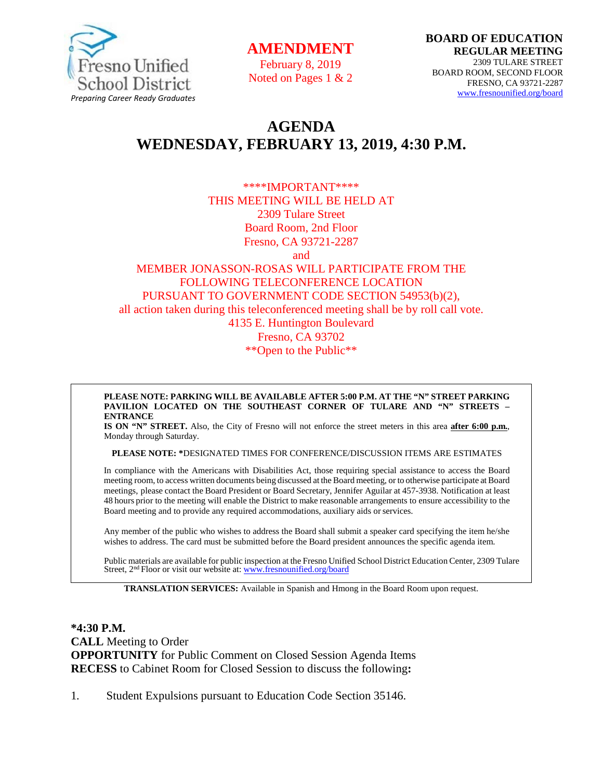

**AMENDMENT**

February 8, 2019 Noted on Pages 1 & 2

# **AGENDA WEDNESDAY, FEBRUARY 13, 2019, 4:30 P.M.**

\*\*\*\*IMPORTANT\*\*\*\* THIS MEETING WILL BE HELD AT 2309 Tulare Street Board Room, 2nd Floor Fresno, CA 93721-2287

and

#### MEMBER JONASSON-ROSAS WILL PARTICIPATE FROM THE FOLLOWING TELECONFERENCE LOCATION PURSUANT TO GOVERNMENT CODE SECTION 54953(b)(2), all action taken during this teleconferenced meeting shall be by roll call vote. 4135 E. Huntington Boulevard Fresno, CA 93702 \*\*Open to the Public\*\*

**PLEASE NOTE: PARKING WILL BE AVAILABLE AFTER 5:00 P.M. AT THE "N" STREET PARKING PAVILION LOCATED ON THE SOUTHEAST CORNER OF TULARE AND "N" STREETS – ENTRANCE**

**IS ON "N" STREET.** Also, the City of Fresno will not enforce the street meters in this area **after 6:00 p.m.**, Monday through Saturday.

**PLEASE NOTE: \***DESIGNATED TIMES FOR CONFERENCE/DISCUSSION ITEMS ARE ESTIMATES

In compliance with the Americans with Disabilities Act, those requiring special assistance to access the Board meeting room, to access written documents being discussed at the Board meeting, or to otherwise participate at Board meetings, please contact the Board President or Board Secretary, Jennifer Aguilar at 457-3938. Notification at least 48 hours prior to the meeting will enable the District to make reasonable arrangements to ensure accessibility to the Board meeting and to provide any required accommodations, auxiliary aids orservices.

Any member of the public who wishes to address the Board shall submit a speaker card specifying the item he/she wishes to address. The card must be submitted before the Board president announces the specific agenda item.

Public materials are available for public inspection at the Fresno Unified School District Education Center, 2309 Tulare Street, 2<sup>nd</sup> Floor or visit our website at: [www.fresnounified.org/board](http://www.fresnounified.org/board)

**TRANSLATION SERVICES:** Available in Spanish and Hmong in the Board Room upon request.

**\*4:30 P.M. CALL** Meeting to Order **OPPORTUNITY** for Public Comment on Closed Session Agenda Items **RECESS** to Cabinet Room for Closed Session to discuss the following**:**

1. Student Expulsions pursuant to Education Code Section 35146.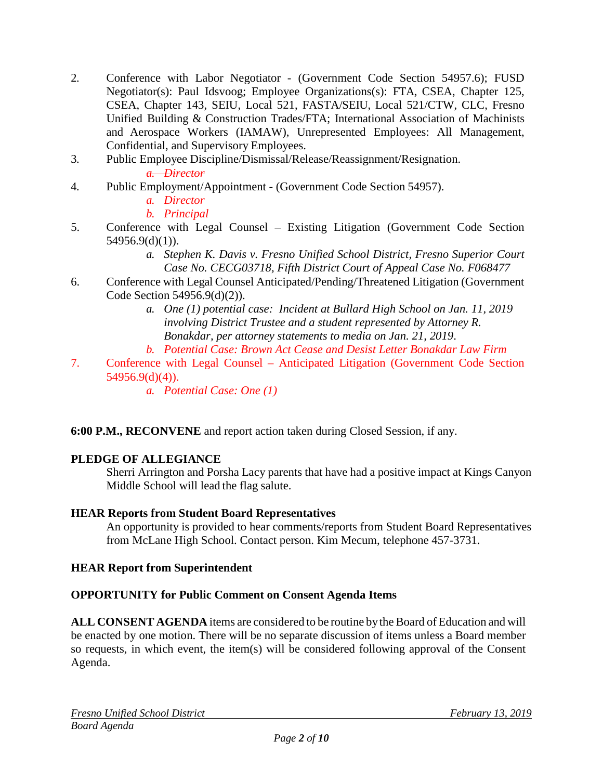- 2. Conference with Labor Negotiator (Government Code Section 54957.6); FUSD Negotiator(s): Paul Idsvoog; Employee Organizations(s): FTA, CSEA, Chapter 125, CSEA, Chapter 143, SEIU, Local 521, FASTA/SEIU, Local 521/CTW, CLC, Fresno Unified Building & Construction Trades/FTA; International Association of Machinists and Aerospace Workers (IAMAW), Unrepresented Employees: All Management, Confidential, and Supervisory Employees.
- 3. Public Employee Discipline/Dismissal/Release/Reassignment/Resignation. *a. Director*
- 4. Public Employment/Appointment (Government Code Section 54957).
	- *a. Director*
	- *b. Principal*
- 5. Conference with Legal Counsel Existing Litigation (Government Code Section 54956.9(d)(1)).
	- *a. Stephen K. Davis v. Fresno Unified School District, Fresno Superior Court Case No. CECG03718, Fifth District Court of Appeal Case No. F068477*
- 6. Conference with Legal Counsel Anticipated/Pending/Threatened Litigation (Government Code Section 54956.9(d)(2)).
	- *a. One (1) potential case: Incident at Bullard High School on Jan. 11, 2019 involving District Trustee and a student represented by Attorney R. Bonakdar, per attorney statements to media on Jan. 21, 2019*.
	- *b. Potential Case: Brown Act Cease and Desist Letter Bonakdar Law Firm*
- 7. Conference with Legal Counsel Anticipated Litigation (Government Code Section 54956.9(d)(4)).
	- *a. Potential Case: One (1)*

# **6:00 P.M., RECONVENE** and report action taken during Closed Session, if any.

# **PLEDGE OF ALLEGIANCE**

Sherri Arrington and Porsha Lacy parents that have had a positive impact at Kings Canyon Middle School will lead the flag salute.

## **HEAR Reports from Student Board Representatives**

An opportunity is provided to hear comments/reports from Student Board Representatives from McLane High School. Contact person. Kim Mecum, telephone 457-3731.

## **HEAR Report from Superintendent**

# **OPPORTUNITY for Public Comment on Consent Agenda Items**

**ALL CONSENT AGENDA** items are considered to be routine bythe Board of Education and will be enacted by one motion. There will be no separate discussion of items unless a Board member so requests, in which event, the item(s) will be considered following approval of the Consent Agenda.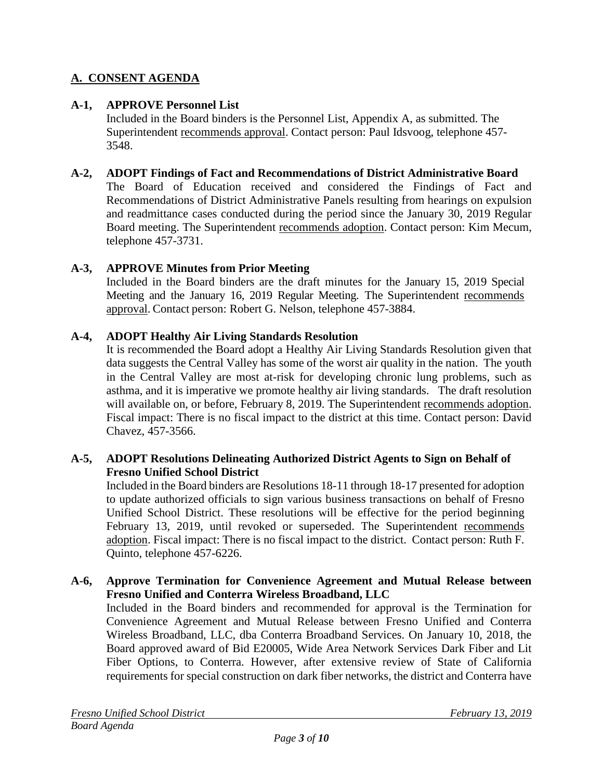# **A. CONSENT AGENDA**

## **A-1, APPROVE Personnel List**

Included in the Board binders is the Personnel List, Appendix A, as submitted. The Superintendent recommends approval. Contact person: Paul Idsvoog, telephone 457- 3548.

## **A-2, ADOPT Findings of Fact and Recommendations of District Administrative Board**

The Board of Education received and considered the Findings of Fact and Recommendations of District Administrative Panels resulting from hearings on expulsion and readmittance cases conducted during the period since the January 30, 2019 Regular Board meeting. The Superintendent recommends adoption. Contact person: Kim Mecum, telephone 457-3731.

## **A-3, APPROVE Minutes from Prior Meeting**

Included in the Board binders are the draft minutes for the January 15, 2019 Special Meeting and the January 16, 2019 Regular Meeting. The Superintendent recommends approval. Contact person: Robert G. Nelson, telephone 457-3884.

## **A-4, ADOPT Healthy Air Living Standards Resolution**

It is recommended the Board adopt a Healthy Air Living Standards Resolution given that data suggests the Central Valley has some of the worst air quality in the nation. The youth in the Central Valley are most at-risk for developing chronic lung problems, such as asthma, and it is imperative we promote healthy air living standards. The draft resolution will available on, or before, February 8, 2019. The Superintendent recommends adoption. Fiscal impact: There is no fiscal impact to the district at this time. Contact person: David Chavez, 457-3566.

## **A-5, ADOPT Resolutions Delineating Authorized District Agents to Sign on Behalf of Fresno Unified School District**

Included in the Board binders are Resolutions 18-11 through 18-17 presented for adoption to update authorized officials to sign various business transactions on behalf of Fresno Unified School District. These resolutions will be effective for the period beginning February 13, 2019, until revoked or superseded. The Superintendent recommends adoption. Fiscal impact: There is no fiscal impact to the district. Contact person: Ruth F. Quinto, telephone 457-6226.

#### **A-6, Approve Termination for Convenience Agreement and Mutual Release between Fresno Unified and Conterra Wireless Broadband, LLC**

Included in the Board binders and recommended for approval is the Termination for Convenience Agreement and Mutual Release between Fresno Unified and Conterra Wireless Broadband, LLC, dba Conterra Broadband Services. On January 10, 2018, the Board approved award of Bid E20005, Wide Area Network Services Dark Fiber and Lit Fiber Options, to Conterra. However, after extensive review of State of California requirements for special construction on dark fiber networks, the district and Conterra have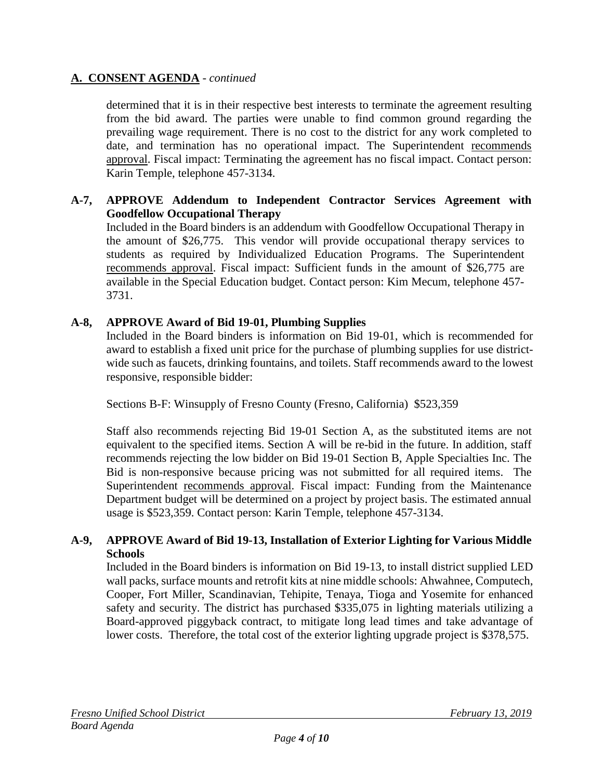determined that it is in their respective best interests to terminate the agreement resulting from the bid award. The parties were unable to find common ground regarding the prevailing wage requirement. There is no cost to the district for any work completed to date, and termination has no operational impact. The Superintendent recommends approval. Fiscal impact: Terminating the agreement has no fiscal impact. Contact person: Karin Temple, telephone 457-3134.

## **A-7, APPROVE Addendum to Independent Contractor Services Agreement with Goodfellow Occupational Therapy**

Included in the Board binders is an addendum with Goodfellow Occupational Therapy in the amount of \$26,775. This vendor will provide occupational therapy services to students as required by Individualized Education Programs. The Superintendent recommends approval. Fiscal impact: Sufficient funds in the amount of \$26,775 are available in the Special Education budget. Contact person: Kim Mecum, telephone 457- 3731.

## **A-8, APPROVE Award of Bid 19-01, Plumbing Supplies**

Included in the Board binders is information on Bid 19-01, which is recommended for award to establish a fixed unit price for the purchase of plumbing supplies for use districtwide such as faucets, drinking fountains, and toilets. Staff recommends award to the lowest responsive, responsible bidder:

Sections B-F: Winsupply of Fresno County (Fresno, California) \$523,359

Staff also recommends rejecting Bid 19-01 Section A, as the substituted items are not equivalent to the specified items. Section A will be re-bid in the future. In addition, staff recommends rejecting the low bidder on Bid 19-01 Section B, Apple Specialties Inc. The Bid is non-responsive because pricing was not submitted for all required items. The Superintendent recommends approval. Fiscal impact: Funding from the Maintenance Department budget will be determined on a project by project basis. The estimated annual usage is \$523,359. Contact person: Karin Temple, telephone 457-3134.

## **A-9, APPROVE Award of Bid 19-13, Installation of Exterior Lighting for Various Middle Schools**

Included in the Board binders is information on Bid 19-13, to install district supplied LED wall packs, surface mounts and retrofit kits at nine middle schools: Ahwahnee, Computech, Cooper, Fort Miller, Scandinavian, Tehipite, Tenaya, Tioga and Yosemite for enhanced safety and security. The district has purchased \$335,075 in lighting materials utilizing a Board-approved piggyback contract, to mitigate long lead times and take advantage of lower costs. Therefore, the total cost of the exterior lighting upgrade project is \$378,575.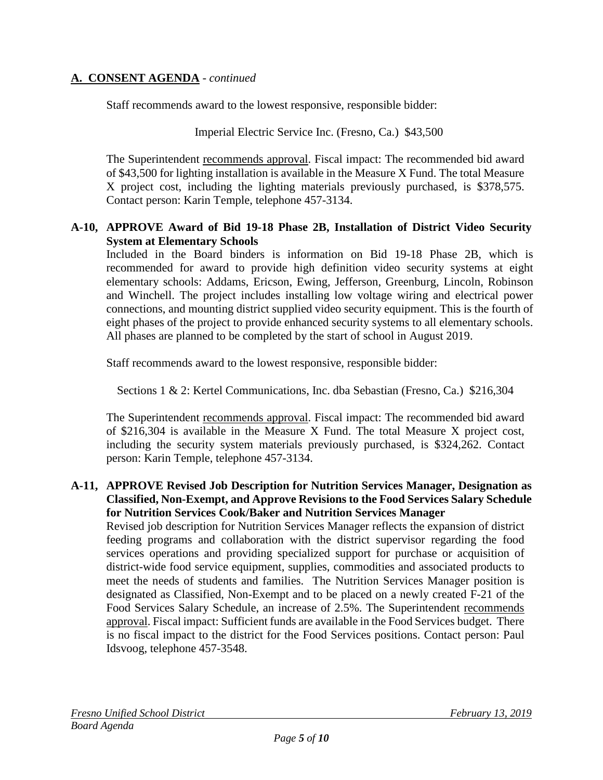Staff recommends award to the lowest responsive, responsible bidder:

Imperial Electric Service Inc. (Fresno, Ca.) \$43,500

The Superintendent recommends approval. Fiscal impact: The recommended bid award of \$43,500 for lighting installation is available in the Measure X Fund. The total Measure X project cost, including the lighting materials previously purchased, is \$378,575. Contact person: Karin Temple, telephone 457-3134.

## **A-10, APPROVE Award of Bid 19-18 Phase 2B, Installation of District Video Security System at Elementary Schools**

Included in the Board binders is information on Bid 19-18 Phase 2B, which is recommended for award to provide high definition video security systems at eight elementary schools: Addams, Ericson, Ewing, Jefferson, Greenburg, Lincoln, Robinson and Winchell. The project includes installing low voltage wiring and electrical power connections, and mounting district supplied video security equipment. This is the fourth of eight phases of the project to provide enhanced security systems to all elementary schools. All phases are planned to be completed by the start of school in August 2019.

Staff recommends award to the lowest responsive, responsible bidder:

Sections 1 & 2: Kertel Communications, Inc. dba Sebastian (Fresno, Ca.) \$216,304

The Superintendent recommends approval. Fiscal impact: The recommended bid award of \$216,304 is available in the Measure X Fund. The total Measure X project cost, including the security system materials previously purchased, is \$324,262. Contact person: Karin Temple, telephone 457-3134.

## **A-11, APPROVE Revised Job Description for Nutrition Services Manager, Designation as Classified, Non-Exempt, and Approve Revisions to the Food Services Salary Schedule for Nutrition Services Cook/Baker and Nutrition Services Manager**

Revised job description for Nutrition Services Manager reflects the expansion of district feeding programs and collaboration with the district supervisor regarding the food services operations and providing specialized support for purchase or acquisition of district-wide food service equipment, supplies, commodities and associated products to meet the needs of students and families. The Nutrition Services Manager position is designated as Classified, Non-Exempt and to be placed on a newly created F-21 of the Food Services Salary Schedule, an increase of 2.5%. The Superintendent recommends approval. Fiscal impact: Sufficient funds are available in the Food Services budget. There is no fiscal impact to the district for the Food Services positions. Contact person: Paul Idsvoog, telephone 457-3548.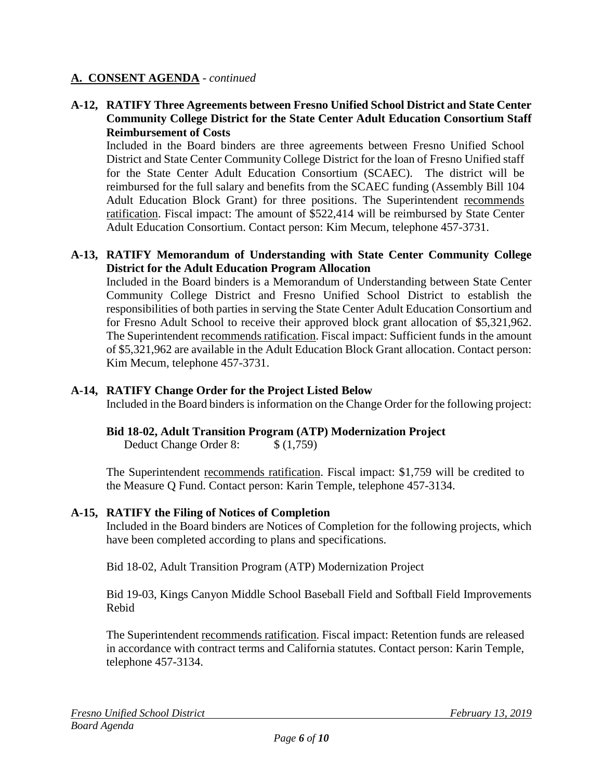## **A-12, RATIFY Three Agreements between Fresno Unified School District and State Center Community College District for the State Center Adult Education Consortium Staff Reimbursement of Costs**

Included in the Board binders are three agreements between Fresno Unified School District and State Center Community College District for the loan of Fresno Unified staff for the State Center Adult Education Consortium (SCAEC). The district will be reimbursed for the full salary and benefits from the SCAEC funding (Assembly Bill 104 Adult Education Block Grant) for three positions. The Superintendent recommends ratification. Fiscal impact: The amount of \$522,414 will be reimbursed by State Center Adult Education Consortium. Contact person: Kim Mecum, telephone 457-3731.

## **A-13, RATIFY Memorandum of Understanding with State Center Community College District for the Adult Education Program Allocation**

Included in the Board binders is a Memorandum of Understanding between State Center Community College District and Fresno Unified School District to establish the responsibilities of both parties in serving the State Center Adult Education Consortium and for Fresno Adult School to receive their approved block grant allocation of \$5,321,962. The Superintendent recommends ratification. Fiscal impact: Sufficient funds in the amount of \$5,321,962 are available in the Adult Education Block Grant allocation. Contact person: Kim Mecum, telephone 457-3731.

## **A-14, RATIFY Change Order for the Project Listed Below**

Included in the Board binders is information on the Change Order for the following project:

## **Bid 18-02, Adult Transition Program (ATP) Modernization Project**

Deduct Change Order 8: \$ (1,759)

The Superintendent recommends ratification. Fiscal impact: \$1,759 will be credited to the Measure Q Fund. Contact person: Karin Temple, telephone 457-3134.

#### **A-15, RATIFY the Filing of Notices of Completion**

Included in the Board binders are Notices of Completion for the following projects, which have been completed according to plans and specifications.

Bid 18-02, Adult Transition Program (ATP) Modernization Project

Bid 19-03, Kings Canyon Middle School Baseball Field and Softball Field Improvements Rebid

The Superintendent recommends ratification. Fiscal impact: Retention funds are released in accordance with contract terms and California statutes. Contact person: Karin Temple, telephone 457-3134.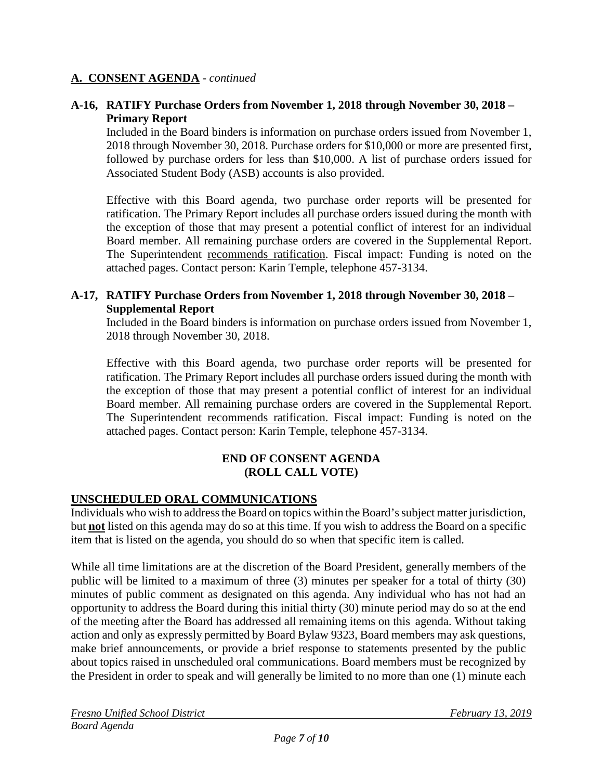## **A-16, RATIFY Purchase Orders from November 1, 2018 through November 30, 2018 – Primary Report**

Included in the Board binders is information on purchase orders issued from November 1, 2018 through November 30, 2018. Purchase orders for \$10,000 or more are presented first, followed by purchase orders for less than \$10,000. A list of purchase orders issued for Associated Student Body (ASB) accounts is also provided.

Effective with this Board agenda, two purchase order reports will be presented for ratification. The Primary Report includes all purchase orders issued during the month with the exception of those that may present a potential conflict of interest for an individual Board member. All remaining purchase orders are covered in the Supplemental Report. The Superintendent recommends ratification. Fiscal impact: Funding is noted on the attached pages. Contact person: Karin Temple, telephone 457-3134.

## **A-17, RATIFY Purchase Orders from November 1, 2018 through November 30, 2018 – Supplemental Report**

Included in the Board binders is information on purchase orders issued from November 1, 2018 through November 30, 2018.

Effective with this Board agenda, two purchase order reports will be presented for ratification. The Primary Report includes all purchase orders issued during the month with the exception of those that may present a potential conflict of interest for an individual Board member. All remaining purchase orders are covered in the Supplemental Report. The Superintendent recommends ratification. Fiscal impact: Funding is noted on the attached pages. Contact person: Karin Temple, telephone 457-3134.

## **END OF CONSENT AGENDA (ROLL CALL VOTE)**

# **UNSCHEDULED ORAL COMMUNICATIONS**

Individuals who wish to address the Board on topics within the Board's subject matter jurisdiction, but **not** listed on this agenda may do so at this time. If you wish to address the Board on a specific item that is listed on the agenda, you should do so when that specific item is called.

While all time limitations are at the discretion of the Board President, generally members of the public will be limited to a maximum of three (3) minutes per speaker for a total of thirty (30) minutes of public comment as designated on this agenda. Any individual who has not had an opportunity to address the Board during this initial thirty (30) minute period may do so at the end of the meeting after the Board has addressed all remaining items on this agenda. Without taking action and only as expressly permitted by Board Bylaw 9323, Board members may ask questions, make brief announcements, or provide a brief response to statements presented by the public about topics raised in unscheduled oral communications. Board members must be recognized by the President in order to speak and will generally be limited to no more than one (1) minute each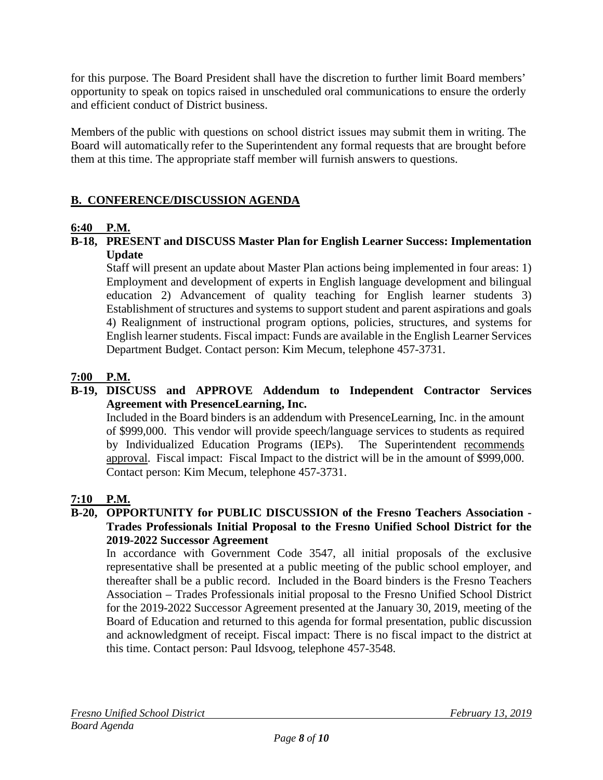for this purpose. The Board President shall have the discretion to further limit Board members' opportunity to speak on topics raised in unscheduled oral communications to ensure the orderly and efficient conduct of District business.

Members of the public with questions on school district issues may submit them in writing. The Board will automatically refer to the Superintendent any formal requests that are brought before them at this time. The appropriate staff member will furnish answers to questions.

# **B. CONFERENCE/DISCUSSION AGENDA**

# **6:40 P.M.**

**B-18, PRESENT and DISCUSS Master Plan for English Learner Success: Implementation Update**

Staff will present an update about Master Plan actions being implemented in four areas: 1) Employment and development of experts in English language development and bilingual education 2) Advancement of quality teaching for English learner students 3) Establishment of structures and systems to support student and parent aspirations and goals 4) Realignment of instructional program options, policies, structures, and systems for English learner students. Fiscal impact: Funds are available in the English Learner Services Department Budget. Contact person: Kim Mecum, telephone 457-3731.

## **7:00 P.M.**

## **B-19, DISCUSS and APPROVE Addendum to Independent Contractor Services Agreement with PresenceLearning, Inc.**

Included in the Board binders is an addendum with PresenceLearning, Inc. in the amount of \$999,000. This vendor will provide speech/language services to students as required by Individualized Education Programs (IEPs). The Superintendent recommends approval. Fiscal impact: Fiscal Impact to the district will be in the amount of \$999,000. Contact person: Kim Mecum, telephone 457-3731.

# **7:10 P.M.**

#### **B-20, OPPORTUNITY for PUBLIC DISCUSSION of the Fresno Teachers Association - Trades Professionals Initial Proposal to the Fresno Unified School District for the 2019-2022 Successor Agreement**

In accordance with Government Code 3547, all initial proposals of the exclusive representative shall be presented at a public meeting of the public school employer, and thereafter shall be a public record. Included in the Board binders is the Fresno Teachers Association – Trades Professionals initial proposal to the Fresno Unified School District for the 2019-2022 Successor Agreement presented at the January 30, 2019, meeting of the Board of Education and returned to this agenda for formal presentation, public discussion and acknowledgment of receipt. Fiscal impact: There is no fiscal impact to the district at this time. Contact person: Paul Idsvoog, telephone 457-3548.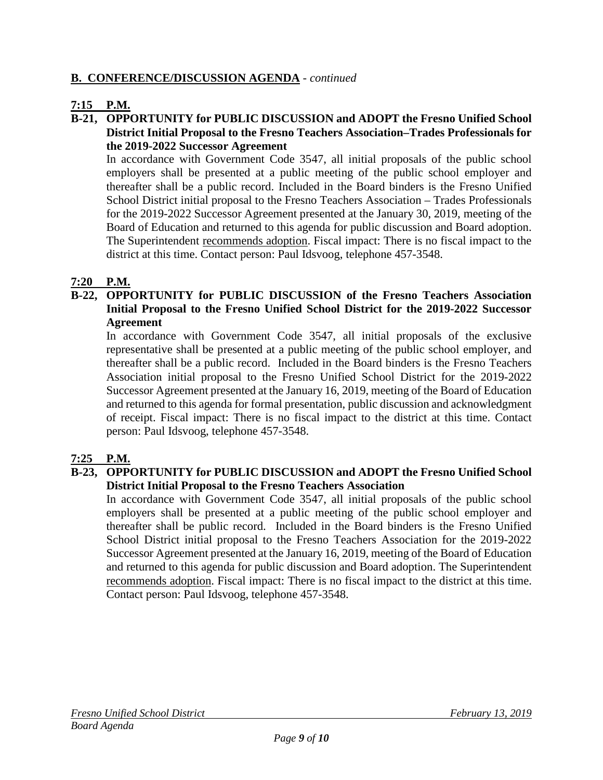# **B. CONFERENCE/DISCUSSION AGENDA** - *continued*

# **7:15 P.M.**

## **B-21, OPPORTUNITY for PUBLIC DISCUSSION and ADOPT the Fresno Unified School District Initial Proposal to the Fresno Teachers Association–Trades Professionals for the 2019-2022 Successor Agreement**

In accordance with Government Code 3547, all initial proposals of the public school employers shall be presented at a public meeting of the public school employer and thereafter shall be a public record. Included in the Board binders is the Fresno Unified School District initial proposal to the Fresno Teachers Association – Trades Professionals for the 2019-2022 Successor Agreement presented at the January 30, 2019, meeting of the Board of Education and returned to this agenda for public discussion and Board adoption. The Superintendent recommends adoption. Fiscal impact: There is no fiscal impact to the district at this time. Contact person: Paul Idsvoog, telephone 457-3548.

## **7:20 P.M.**

**B-22, OPPORTUNITY for PUBLIC DISCUSSION of the Fresno Teachers Association Initial Proposal to the Fresno Unified School District for the 2019-2022 Successor Agreement**

In accordance with Government Code 3547, all initial proposals of the exclusive representative shall be presented at a public meeting of the public school employer, and thereafter shall be a public record. Included in the Board binders is the Fresno Teachers Association initial proposal to the Fresno Unified School District for the 2019-2022 Successor Agreement presented at the January 16, 2019, meeting of the Board of Education and returned to this agenda for formal presentation, public discussion and acknowledgment of receipt. Fiscal impact: There is no fiscal impact to the district at this time. Contact person: Paul Idsvoog, telephone 457-3548.

## **7:25 P.M.**

## **B-23, OPPORTUNITY for PUBLIC DISCUSSION and ADOPT the Fresno Unified School District Initial Proposal to the Fresno Teachers Association**

In accordance with Government Code 3547, all initial proposals of the public school employers shall be presented at a public meeting of the public school employer and thereafter shall be public record. Included in the Board binders is the Fresno Unified School District initial proposal to the Fresno Teachers Association for the 2019-2022 Successor Agreement presented at the January 16, 2019, meeting of the Board of Education and returned to this agenda for public discussion and Board adoption. The Superintendent recommends adoption. Fiscal impact: There is no fiscal impact to the district at this time. Contact person: Paul Idsvoog, telephone 457-3548.